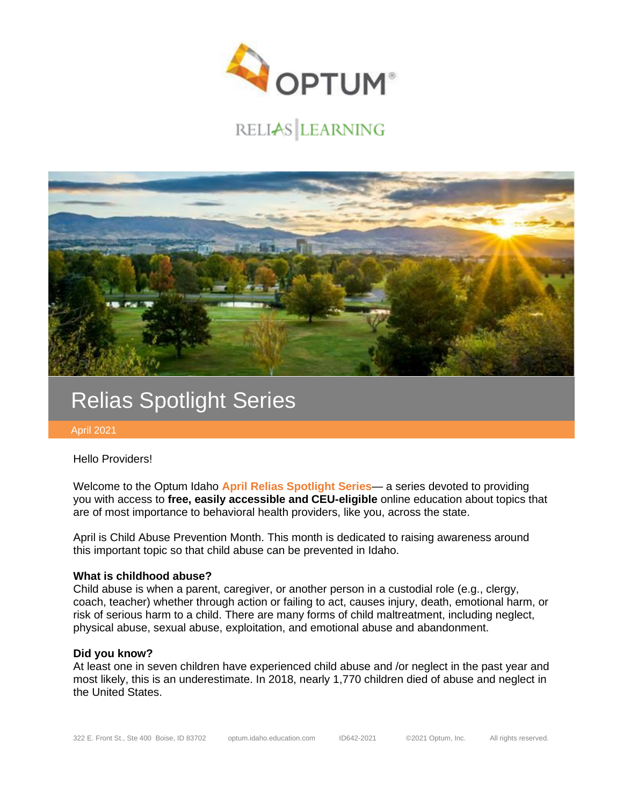

# RELIAS LEARNING



# Relias Spotlight Series

April 2021

Hello Providers!

Welcome to the Optum Idaho **April Relias Spotlight Series**— a series devoted to providing you with access to **free, easily accessible and CEU-eligible** online education about topics that are of most importance to behavioral health providers, like you, across the state.

April is Child Abuse Prevention Month. This month is dedicated to raising awareness around this important topic so that child abuse can be prevented in Idaho.

#### **What is childhood abuse?**

Child abuse is when a parent, caregiver, or another person in a custodial role (e.g., clergy, coach, teacher) whether through action or failing to act, causes injury, death, emotional harm, or risk of serious harm to a child. There are many forms of child maltreatment, including neglect, physical abuse, sexual abuse, exploitation, and emotional abuse and abandonment.

#### **Did you know?**

At least one in seven children have experienced child abuse and /or neglect in the past year and most likely, this is an underestimate. In 2018, nearly 1,770 children died of abuse and neglect in the United States.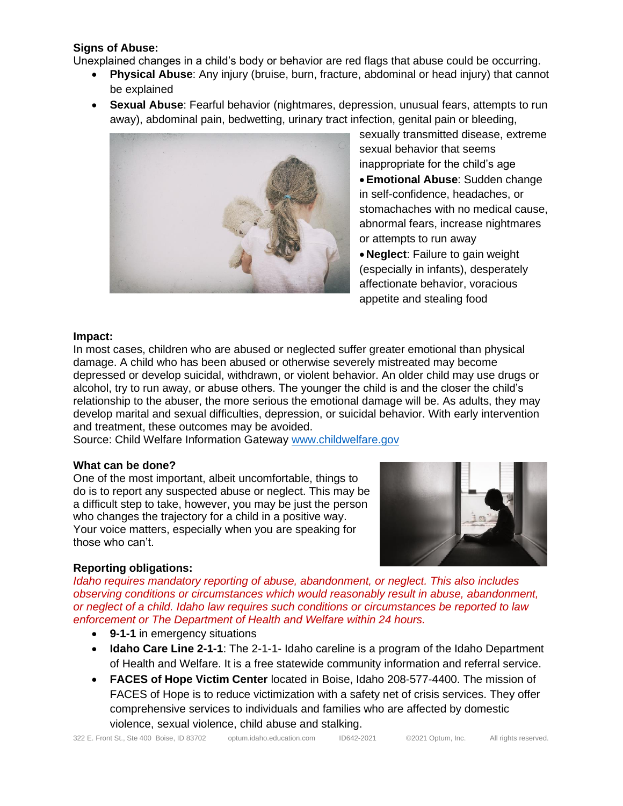### **Signs of Abuse:**

Unexplained changes in a child's body or behavior are red flags that abuse could be occurring.

- **Physical Abuse**: Any injury (bruise, burn, fracture, abdominal or head injury) that cannot be explained
- **Sexual Abuse**: Fearful behavior (nightmares, depression, unusual fears, attempts to run away), abdominal pain, bedwetting, urinary tract infection, genital pain or bleeding,



sexually transmitted disease, extreme sexual behavior that seems inappropriate for the child's age •**Emotional Abuse**: Sudden change in self-confidence, headaches, or stomachaches with no medical cause, abnormal fears, increase nightmares or attempts to run away

• **Neglect**: Failure to gain weight (especially in infants), desperately affectionate behavior, voracious appetite and stealing food

### **Impact:**

In most cases, children who are abused or neglected suffer greater emotional than physical damage. A child who has been abused or otherwise severely mistreated may become depressed or develop suicidal, withdrawn, or violent behavior. An older child may use drugs or alcohol, try to run away, or abuse others. The younger the child is and the closer the child's relationship to the abuser, the more serious the emotional damage will be. As adults, they may develop marital and sexual difficulties, depression, or suicidal behavior. With early intervention and treatment, these outcomes may be avoided.

Source: Child Welfare Information Gateway [www.childwelfare.gov](http://www.childwelfare.gov/)

### **What can be done?**

One of the most important, albeit uncomfortable, things to do is to report any suspected abuse or neglect. This may be a difficult step to take, however, you may be just the person who changes the trajectory for a child in a positive way. Your voice matters, especially when you are speaking for those who can't.



## **Reporting obligations:**

*Idaho requires mandatory reporting of abuse, abandonment, or neglect. This also includes observing conditions or circumstances which would reasonably result in abuse, abandonment, or neglect of a child. Idaho law requires such conditions or circumstances be reported to law enforcement or The Department of Health and Welfare within 24 hours.*

- **9-1-1** in emergency situations
- **Idaho Care Line 2-1-1**: The 2-1-1- Idaho careline is a program of the Idaho Department of Health and Welfare. It is a free statewide community information and referral service.
- **FACES of Hope Victim Center** located in Boise, Idaho 208-577-4400. The mission of FACES of Hope is to reduce victimization with a safety net of crisis services. They offer comprehensive services to individuals and families who are affected by domestic violence, sexual violence, child abuse and stalking.

322 E. Front St., Ste 400 Boise, ID 83702 optum.idaho.education.com ID642-2021 ©2021 Optum, Inc. All rights reserved.